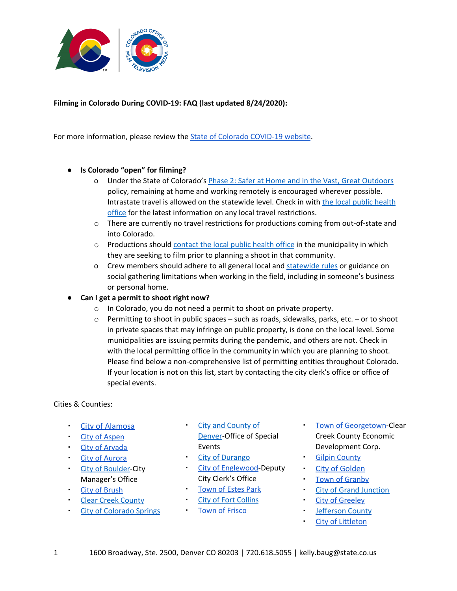

## **Filming in Colorado During COVID-19: FAQ (last updated 8/24/2020):**

For more information, please review the State of Colorado [COVID-19](https://covid19.colorado.gov/) website.

## **● Is Colorado "open" for filming?**

- o Under the State of Colorado's Phase 2: Safer at Home and in the Vast, Great [Outdoors](https://covid19.colorado.gov/safer-at-home) policy, remaining at home and working remotely is encouraged wherever possible. Intrastate travel is allowed on the statewide level. Check in with the local public [health](https://www.colorado.gov/pacific/cdphe/find-your-local-public-health-agency) [office](https://www.colorado.gov/pacific/cdphe/find-your-local-public-health-agency) for the latest information on any local travel restrictions.
- o There are currently no travel restrictions for productions coming from out-of-state and into Colorado.
- o Productions should [contact](https://www.colorado.gov/pacific/cdphe/find-your-local-public-health-agency) the local public health office in the municipality in which they are seeking to film prior to planning a shoot in that community.
- o Crew members should adhere to all general local and [statewide](https://covid19.colorado.gov/) rules or guidance on social gathering limitations when working in the field, including in someone's business or personal home.
- **● Can I get a permit to shoot right now?**
	- o In Colorado, you do not need a permit to shoot on private property.
	- o Permitting to shoot in public spaces such as roads, sidewalks, parks, etc. or to shoot in private spaces that may infringe on public property, is done on the local level. Some municipalities are issuing permits during the pandemic, and others are not. Check in with the local permitting office in the community in which you are planning to shoot. Please find below a non-comprehensive list of permitting entities throughout Colorado. If your location is not on this list, start by contacting the city clerk's office or office of special events.

#### Cities & Counties:

- **City of [Alamosa](http://www.filmsoutherncolorado.com/)**
- City of [Aspen](https://www.cityofaspen.com/faq.aspx?TID=59)
- City of [Arvada](http://arvada.org/business/permits-and-applications/special-event-permit-for-all-other-events)
- City of [Aurora](https://www.auroragov.org/city_hall/television___cable_services/film_permits)
- **City of [Boulder](https://bouldercolorado.gov/city-manager/film-permit-application)-City** Manager's Office
- City of [Brush](http://www.brushcolo.com/index.html)
- **Clear Creek [County](https://www.clearcreekcounty.us/160/Special-Event)**
- **City of [Colorado](https://coloradosprings.gov/parks/page/special-event-film-permits) Springs**
- **City and [County](https://www.denvergov.org/content/denvergov/en/office-of-special-events/film.html) of** [Denver-](https://www.denvergov.org/content/denvergov/en/office-of-special-events/film.html)Office of Special Events
- City of [Durango](https://co-durango.civicplus.com/1091/Community-Special-Events)
- **City of [Englewood](http://www.englewoodco.gov/special-event-permits)-Deputy** City Clerk's Office
- [Town](https://www.colorado.gov/pacific/townofestespark/node/60616#PublicWorks) of Estes Park
- **City of Fort [Collins](https://www.fcgov.com/specialevents/guide.php)**
- Town of [Frisco](https://www.friscogov.com/departments/marketing-and-events/marketing/film-and-video-permitting/)
- Town of [Georgetown-](http://clearcreekedc.org/)Clear Creek County Economic Development Corp.
- **Gilpin [County](http://www.co.gilpin.co.us/UserFiles/Servers/Server_9285172/File/Depts/CommunityDevelopment/Planning%20&%20Zoning/Planning%20Form-Applications/TUP_Form.pdf)**
- City of [Golden](https://www.cityofgolden.net/city-services/filming-in-golden/)
- **Town of [Granby](https://www.townofgranby.com/index.asp?SEC=316E4019-8530-4E26-B736-CF1CA21E3B0D&DE=C330DB4F-8A61-45EE-8423-E56EEB9D105A)**
- **City of Grand [Junction](https://www.gjcity.org/residents/Community-Development/licenses-and-permits/)**
- **City of [Greeley](https://greeleygov.com/government/cmo)**
- **[Jefferson](https://www.jeffco.us/1512/Permits-Reservations) County**
- City of [Littleton](https://www.littletongov.org/city-services/permits-licenses/film-video-permit)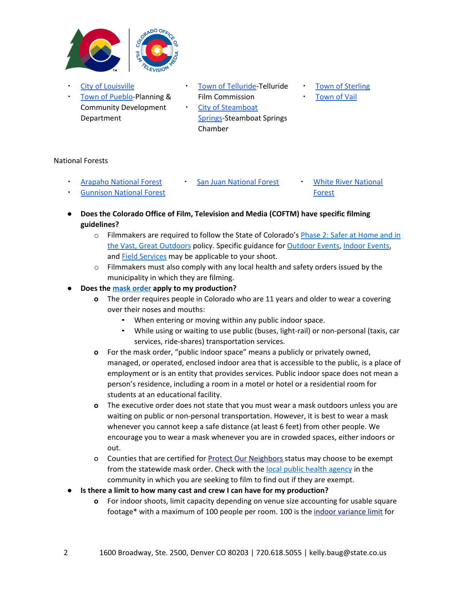

- **City of [Louisville](http://www.louisvilleco.gov/home/showdocument?id=2842)**
- Town of [Pueblo-](https://www.pueblo.us/DocumentCenter/View/274/PZ-Special-Use-Permit?bidId=)Planning & Community Development Department
- Town of [Telluride-](http://www.filmtelluride.com/index.html)Telluride Film Commission
- City of [Steamboat](https://www.steamboatchamber.com/media/steamboat-springs-film-committee/) [Springs-](https://www.steamboatchamber.com/media/steamboat-springs-film-committee/)Steamboat Springs Chamber
- **Town of [Sterling](https://sterling-logan.com/)**
- **[Town](https://www.vailgov.com/departments/economic-development/special-events) of Vail**

## National Forests

**[Arapaho](https://www.fs.usda.gov/detail/arp/passes-permits/?cid=stelprdb5127723) National Forest** 

**[Gunnison](https://gunnisoncrestedbutte.com/film-commission/permits/) National Forest** 

- San Juan [National](https://www.fs.usda.gov/main/whiteriver/passes-permits/event-commercial) Forest **White River National** 
	- [Forest](https://www.fs.usda.gov/main/whiteriver/passes-permits/event-commercial)
- **● Does the Colorado Office of Film, Television and Media (COFTM) have specific filming guidelines?**
	- o Filmmakers are required to follow the State of Colorado's Phase 2: Safer at [Home](https://covid19.colorado.gov/safer-at-home) and in the Vast, Great [Outdoors](https://covid19.colorado.gov/safer-at-home) policy. Specific guidance for [Outdoor](https://covid19.colorado.gov/safer-at-home/outdoor-events) Events, [Indoor](https://covid19.colorado.gov/safer-at-home/indoor-events) Events, and **Field [Services](https://covid19.colorado.gov/safer-at-home-in-the-vast-great-outdoors/guidance-by-sector/safer-at-home-field-services-and-real)** may be applicable to your shoot.
	- $\circ$  Filmmakers must also comply with any local health and safety orders issued by the municipality in which they are filming.

# **● Does the mask [order](https://covid19.colorado.gov/mask-guidance) apply to my production?**

- **o** The order requires people in Colorado who are 11 years and older to wear a covering over their noses and mouths:
	- When entering or moving within any public indoor space.
	- While using or waiting to use public (buses, light-rail) or non-personal (taxis, car services, ride-shares) transportation services.
- **o** For the mask order, "public indoor space" means a publicly or privately owned, managed, or operated, enclosed indoor area that is accessible to the public, is a place of employment or is an entity that provides services. Public indoor space does not mean a person's residence, including a room in a motel or hotel or a residential room for students at an educational facility.
- **o** The executive order does not state that you must wear a mask outdoors unless you are waiting on public or non-personal transportation. However, it is best to wear a mask whenever you cannot keep a safe distance (at least 6 feet) from other people. We encourage you to wear a mask whenever you are in crowded spaces, either indoors or out.
- o Counties that are certified for Protect Our [Neighbors](https://covid19.colorado.gov/protect-our-neighbors) status may choose to be exempt from the statewide mask order. Check with the local public health [agency](https://www.colorado.gov/pacific/cdphe/find-your-local-public-health-agency) in the community in which you are seeking to film to find out if they are exempt.
- **● Is there a limit to how many cast and crew I can have for my production?**
	- **o** For indoor shoots, limit capacity depending on venue size accounting for usable square footage\* with a maximum of 100 people per room. 100 is the indoor [variance](https://covid19.colorado.gov/public-health-executive-orders/local-orders-variances) limit for